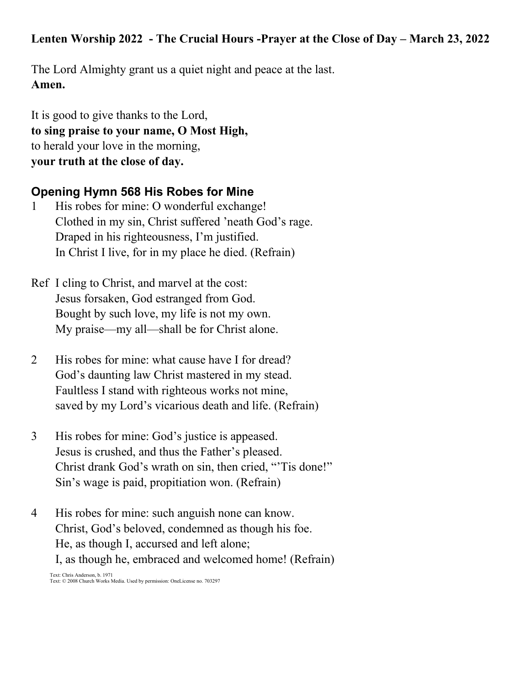#### Lenten Worship 2022 - The Crucial Hours -Prayer at the Close of Day – March 23, 2022

The Lord Almighty grant us a quiet night and peace at the last. **Amen.**

It is good to give thanks to the Lord, **to sing praise to your name, O Most High,** to herald your love in the morning, **your truth at the close of day.**

#### **Opening Hymn 568 His Robes for Mine**

- 1 His robes for mine: O wonderful exchange! Clothed in my sin, Christ suffered 'neath God's rage. Draped in his righteousness, I'm justified. In Christ I live, for in my place he died. (Refrain)
- Ref I cling to Christ, and marvel at the cost: Jesus forsaken, God estranged from God. Bought by such love, my life is not my own. My praise—my all—shall be for Christ alone.
- 2 His robes for mine: what cause have I for dread? God's daunting law Christ mastered in my stead. Faultless I stand with righteous works not mine, saved by my Lord's vicarious death and life. (Refrain)
- 3 His robes for mine: God's justice is appeased. Jesus is crushed, and thus the Father's pleased. Christ drank God's wrath on sin, then cried, "'Tis done!" Sin's wage is paid, propitiation won. (Refrain)
- 4 His robes for mine: such anguish none can know. Christ, God's beloved, condemned as though his foe. He, as though I, accursed and left alone; I, as though he, embraced and welcomed home! (Refrain) Text: Chris Anderson, b. 1971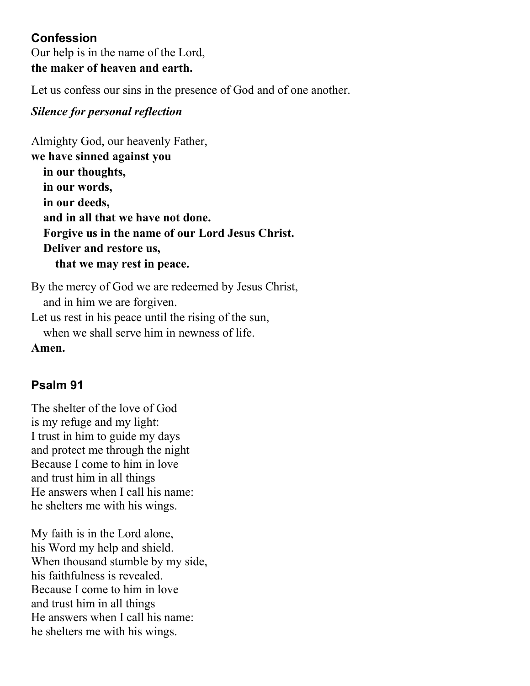## **Confession**

Our help is in the name of the Lord, **the maker of heaven and earth.**

Let us confess our sins in the presence of God and of one another.

### *Silence for personal reflection*

Almighty God, our heavenly Father, **we have sinned against you in our thoughts, in our words, in our deeds, and in all that we have not done. Forgive us in the name of our Lord Jesus Christ. Deliver and restore us, that we may rest in peace.**

By the mercy of God we are redeemed by Jesus Christ, and in him we are forgiven. Let us rest in his peace until the rising of the sun, when we shall serve him in newness of life.

**Amen.**

## **Psalm 91**

The shelter of the love of God is my refuge and my light: I trust in him to guide my days and protect me through the night Because I come to him in love and trust him in all things He answers when I call his name: he shelters me with his wings.

My faith is in the Lord alone, his Word my help and shield. When thousand stumble by my side, his faithfulness is revealed. Because I come to him in love and trust him in all things He answers when I call his name: he shelters me with his wings.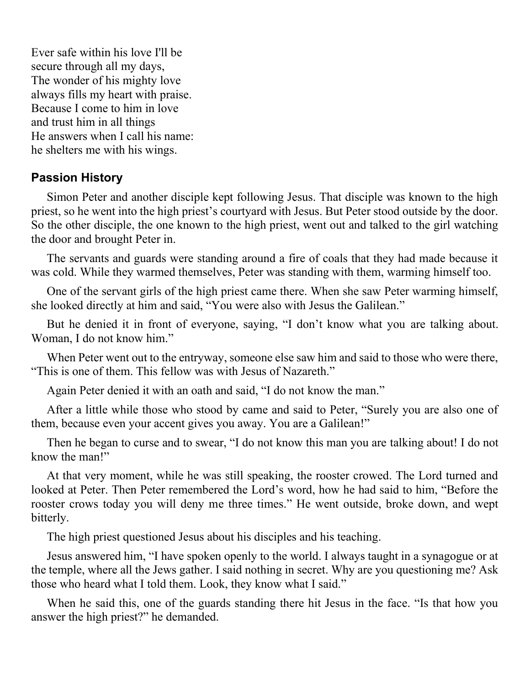Ever safe within his love I'll be secure through all my days, The wonder of his mighty love always fills my heart with praise. Because I come to him in love and trust him in all things He answers when I call his name: he shelters me with his wings.

#### **Passion History**

Simon Peter and another disciple kept following Jesus. That disciple was known to the high priest, so he went into the high priest's courtyard with Jesus. But Peter stood outside by the door. So the other disciple, the one known to the high priest, went out and talked to the girl watching the door and brought Peter in.

The servants and guards were standing around a fire of coals that they had made because it was cold. While they warmed themselves, Peter was standing with them, warming himself too.

One of the servant girls of the high priest came there. When she saw Peter warming himself, she looked directly at him and said, "You were also with Jesus the Galilean."

But he denied it in front of everyone, saying, "I don't know what you are talking about. Woman, I do not know him."

When Peter went out to the entryway, someone else saw him and said to those who were there, "This is one of them. This fellow was with Jesus of Nazareth."

Again Peter denied it with an oath and said, "I do not know the man."

After a little while those who stood by came and said to Peter, "Surely you are also one of them, because even your accent gives you away. You are a Galilean!"

Then he began to curse and to swear, "I do not know this man you are talking about! I do not know the man!"

At that very moment, while he was still speaking, the rooster crowed. The Lord turned and looked at Peter. Then Peter remembered the Lord's word, how he had said to him, "Before the rooster crows today you will deny me three times." He went outside, broke down, and wept bitterly.

The high priest questioned Jesus about his disciples and his teaching.

Jesus answered him, "I have spoken openly to the world. I always taught in a synagogue or at the temple, where all the Jews gather. I said nothing in secret. Why are you questioning me? Ask those who heard what I told them. Look, they know what I said."

When he said this, one of the guards standing there hit Jesus in the face. "Is that how you answer the high priest?" he demanded.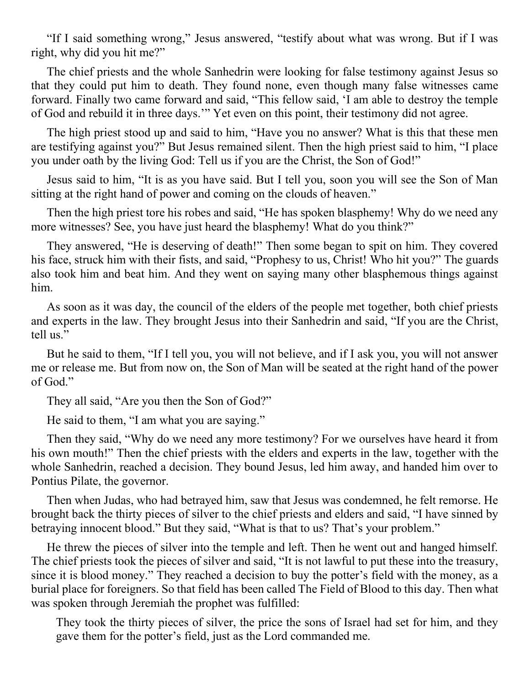"If I said something wrong," Jesus answered, "testify about what was wrong. But if I was right, why did you hit me?"

The chief priests and the whole Sanhedrin were looking for false testimony against Jesus so that they could put him to death. They found none, even though many false witnesses came forward. Finally two came forward and said, "This fellow said, 'I am able to destroy the temple of God and rebuild it in three days.'" Yet even on this point, their testimony did not agree.

The high priest stood up and said to him, "Have you no answer? What is this that these men are testifying against you?" But Jesus remained silent. Then the high priest said to him, "I place you under oath by the living God: Tell us if you are the Christ, the Son of God!"

Jesus said to him, "It is as you have said. But I tell you, soon you will see the Son of Man sitting at the right hand of power and coming on the clouds of heaven."

Then the high priest tore his robes and said, "He has spoken blasphemy! Why do we need any more witnesses? See, you have just heard the blasphemy! What do you think?"

They answered, "He is deserving of death!" Then some began to spit on him. They covered his face, struck him with their fists, and said, "Prophesy to us, Christ! Who hit you?" The guards also took him and beat him. And they went on saying many other blasphemous things against him.

As soon as it was day, the council of the elders of the people met together, both chief priests and experts in the law. They brought Jesus into their Sanhedrin and said, "If you are the Christ, tell us."

But he said to them, "If I tell you, you will not believe, and if I ask you, you will not answer me or release me. But from now on, the Son of Man will be seated at the right hand of the power of God."

They all said, "Are you then the Son of God?"

He said to them, "I am what you are saying."

Then they said, "Why do we need any more testimony? For we ourselves have heard it from his own mouth!" Then the chief priests with the elders and experts in the law, together with the whole Sanhedrin, reached a decision. They bound Jesus, led him away, and handed him over to Pontius Pilate, the governor.

Then when Judas, who had betrayed him, saw that Jesus was condemned, he felt remorse. He brought back the thirty pieces of silver to the chief priests and elders and said, "I have sinned by betraying innocent blood." But they said, "What is that to us? That's your problem."

He threw the pieces of silver into the temple and left. Then he went out and hanged himself. The chief priests took the pieces of silver and said, "It is not lawful to put these into the treasury, since it is blood money." They reached a decision to buy the potter's field with the money, as a burial place for foreigners. So that field has been called The Field of Blood to this day. Then what was spoken through Jeremiah the prophet was fulfilled:

They took the thirty pieces of silver, the price the sons of Israel had set for him, and they gave them for the potter's field, just as the Lord commanded me.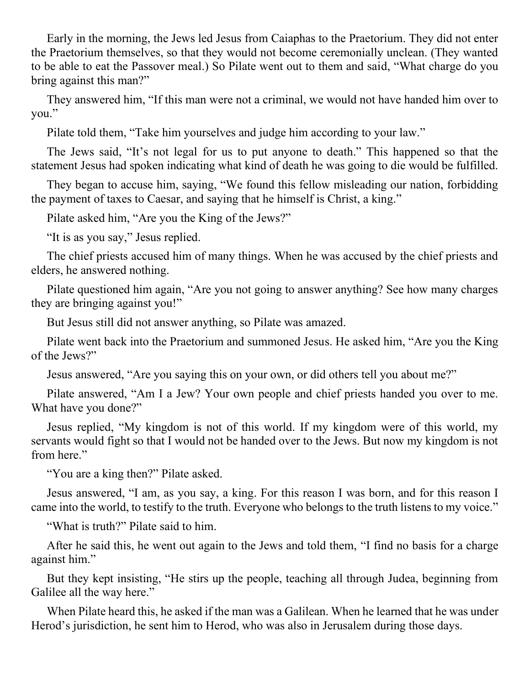Early in the morning, the Jews led Jesus from Caiaphas to the Praetorium. They did not enter the Praetorium themselves, so that they would not become ceremonially unclean. (They wanted to be able to eat the Passover meal.) So Pilate went out to them and said, "What charge do you bring against this man?"

They answered him, "If this man were not a criminal, we would not have handed him over to you."

Pilate told them, "Take him yourselves and judge him according to your law."

The Jews said, "It's not legal for us to put anyone to death." This happened so that the statement Jesus had spoken indicating what kind of death he was going to die would be fulfilled.

They began to accuse him, saying, "We found this fellow misleading our nation, forbidding the payment of taxes to Caesar, and saying that he himself is Christ, a king."

Pilate asked him, "Are you the King of the Jews?"

"It is as you say," Jesus replied.

The chief priests accused him of many things. When he was accused by the chief priests and elders, he answered nothing.

Pilate questioned him again, "Are you not going to answer anything? See how many charges they are bringing against you!"

But Jesus still did not answer anything, so Pilate was amazed.

Pilate went back into the Praetorium and summoned Jesus. He asked him, "Are you the King of the Jews?"

Jesus answered, "Are you saying this on your own, or did others tell you about me?"

Pilate answered, "Am I a Jew? Your own people and chief priests handed you over to me. What have you done?"

Jesus replied, "My kingdom is not of this world. If my kingdom were of this world, my servants would fight so that I would not be handed over to the Jews. But now my kingdom is not from here."

"You are a king then?" Pilate asked.

Jesus answered, "I am, as you say, a king. For this reason I was born, and for this reason I came into the world, to testify to the truth. Everyone who belongs to the truth listens to my voice."

"What is truth?" Pilate said to him.

After he said this, he went out again to the Jews and told them, "I find no basis for a charge against him."

But they kept insisting, "He stirs up the people, teaching all through Judea, beginning from Galilee all the way here."

When Pilate heard this, he asked if the man was a Galilean. When he learned that he was under Herod's jurisdiction, he sent him to Herod, who was also in Jerusalem during those days.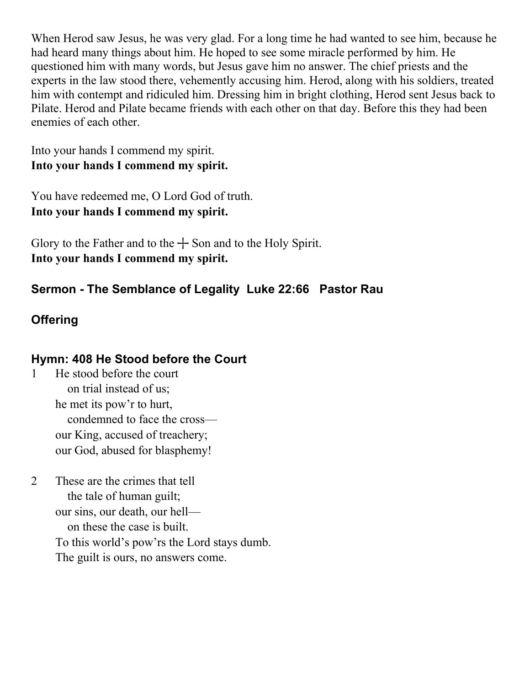When Herod saw Jesus, he was very glad. For a long time he had wanted to see him, because he had heard many things about him. He hoped to see some miracle performed by him. He questioned him with many words, but Jesus gave him no answer. The chief priests and the experts in the law stood there, vehemently accusing him. Herod, along with his soldiers, treated him with contempt and ridiculed him. Dressing him in bright clothing, Herod sent Jesus back to Pilate. Herod and Pilate became friends with each other on that day. Before this they had been enemies of each other.

Into your hands I commend my spirit. **Into your hands I commend my spirit.** 

You have redeemed me, O Lord God of truth. **Into your hands I commend my spirit.** 

Glory to the Father and to the  $+$  Son and to the Holy Spirit. **Into your hands I commend my spirit.**

# **Sermon - The Semblance of Legality Luke 22:66 Pastor Rau**

# **Offering**

## **Hymn: 408 He Stood before the Court**

- 1 He stood before the court on trial instead of us; he met its pow'r to hurt, condemned to face the cross our King, accused of treachery; our God, abused for blasphemy!
- 2 These are the crimes that tell the tale of human guilt; our sins, our death, our hell on these the case is built. To this world's pow'rs the Lord stays dumb. The guilt is ours, no answers come.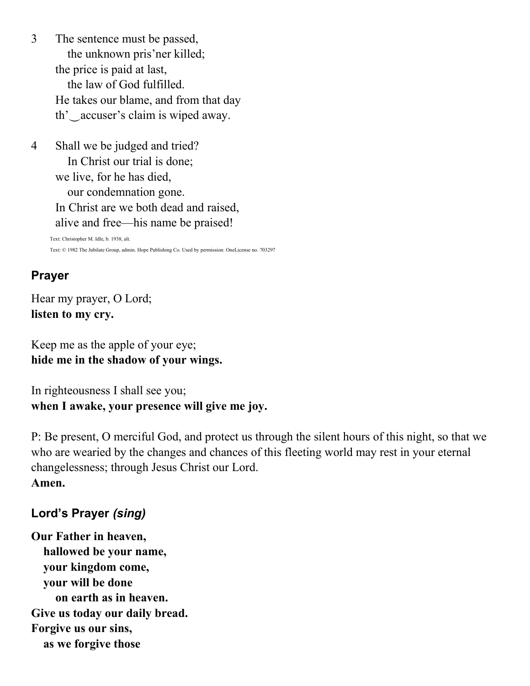3 The sentence must be passed, the unknown pris'ner killed; the price is paid at last, the law of God fulfilled. He takes our blame, and from that day th'‿accuser's claim is wiped away.

4 Shall we be judged and tried? In Christ our trial is done; we live, for he has died, our condemnation gone. In Christ are we both dead and raised, alive and free—his name be praised! Text: Christopher M. Idle, b. 1938, alt. Text: © 1982 The Jubilate Group, admin. Hope Publishing Co. Used by permission: OneLicense no. 703297

## **Prayer**

Hear my prayer, O Lord; **listen to my cry.** 

Keep me as the apple of your eye; **hide me in the shadow of your wings.** 

In righteousness I shall see you; **when I awake, your presence will give me joy.**

P: Be present, O merciful God, and protect us through the silent hours of this night, so that we who are wearied by the changes and chances of this fleeting world may rest in your eternal changelessness; through Jesus Christ our Lord. **Amen.**

## **Lord's Prayer** *(sing)*

**Our Father in heaven, hallowed be your name, your kingdom come, your will be done on earth as in heaven. Give us today our daily bread. Forgive us our sins, as we forgive those**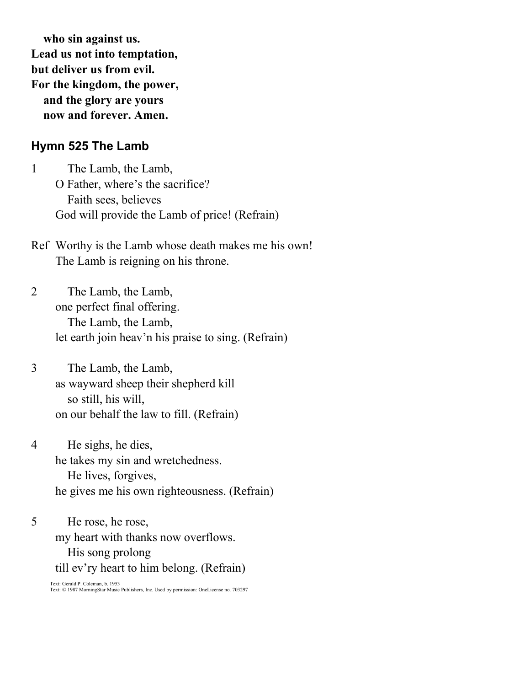**who sin against us. Lead us not into temptation, but deliver us from evil. For the kingdom, the power, and the glory are yours now and forever. Amen.**

#### **Hymn 525 The Lamb**

1 The Lamb, the Lamb, O Father, where's the sacrifice? Faith sees, believes God will provide the Lamb of price! (Refrain)

- Ref Worthy is the Lamb whose death makes me his own! The Lamb is reigning on his throne.
- 2 The Lamb, the Lamb, one perfect final offering. The Lamb, the Lamb, let earth join heav'n his praise to sing. (Refrain)

3 The Lamb, the Lamb, as wayward sheep their shepherd kill so still, his will, on our behalf the law to fill. (Refrain)

4 He sighs, he dies, he takes my sin and wretchedness. He lives, forgives, he gives me his own righteousness. (Refrain)

5 He rose, he rose, my heart with thanks now overflows. His song prolong till ev'ry heart to him belong. (Refrain)

Text: Gerald P. Coleman, b. 1953 Text: © 1987 MorningStar Music Publishers, Inc. Used by permission: OneLicense no. 703297